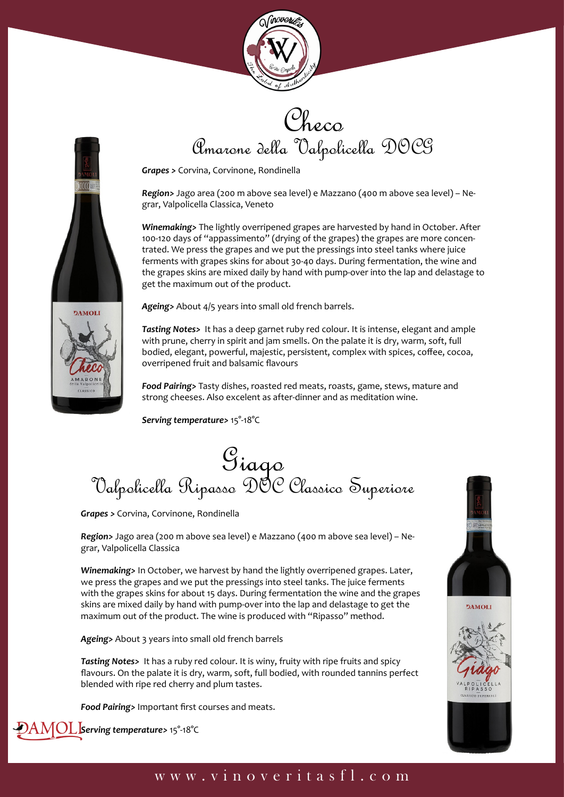



Checo Amarone della Valpolicella DOCG

*Grapes >* Corvina, Corvinone, Rondinella

*Region>* Jago area (200 m above sea level) e Mazzano (400 m above sea level) – Negrar, Valpolicella Classica, Veneto

*Winemaking>* The lightly overripened grapes are harvested by hand in October. After 100-120 days of "appassimento" (drying of the grapes) the grapes are more concentrated. We press the grapes and we put the pressings into steel tanks where juice ferments with grapes skins for about 30-40 days. During fermentation, the wine and the grapes skins are mixed daily by hand with pump-over into the lap and delastage to get the maximum out of the product.



*Ageing>* About 4/5 years into small old french barrels.

*Tasting Notes>* It has a deep garnet ruby red colour. It is intense, elegant and ample with prune, cherry in spirit and jam smells. On the palate it is dry, warm, soft, full bodied, elegant, powerful, majestic, persistent, complex with spices, coffee, cocoa, overripened fruit and balsamic flavours

*Food Pairing>* Tasty dishes, roasted red meats, roasts, game, stews, mature and strong cheeses. Also excelent as after-dinner and as meditation wine.

*Serving temperature>* 15°-18°C

## Giago<br>Valpolicella Ripasso DOC Classico Superiore

*Grapes >* Corvina, Corvinone, Rondinella

*Region>* Jago area (200 m above sea level) e Mazzano (400 m above sea level) – Negrar, Valpolicella Classica

*Winemaking>* In October, we harvest by hand the lightly overripened grapes. Later, we press the grapes and we put the pressings into steel tanks. The juice ferments with the grapes skins for about 15 days. During fermentation the wine and the grapes skins are mixed daily by hand with pump-over into the lap and delastage to get the maximum out of the product. The wine is produced with "Ripasso" method.

*Ageing>* About 3 years into small old french barrels

*Tasting Notes>* It has a ruby red colour. It is winy, fruity with ripe fruits and spicy flavours. On the palate it is dry, warm, soft, full bodied, with rounded tannins perfect blended with ripe red cherry and plum tastes.

*Food Pairing>* Important first courses and meats.







## www.vinoveritasfl.com